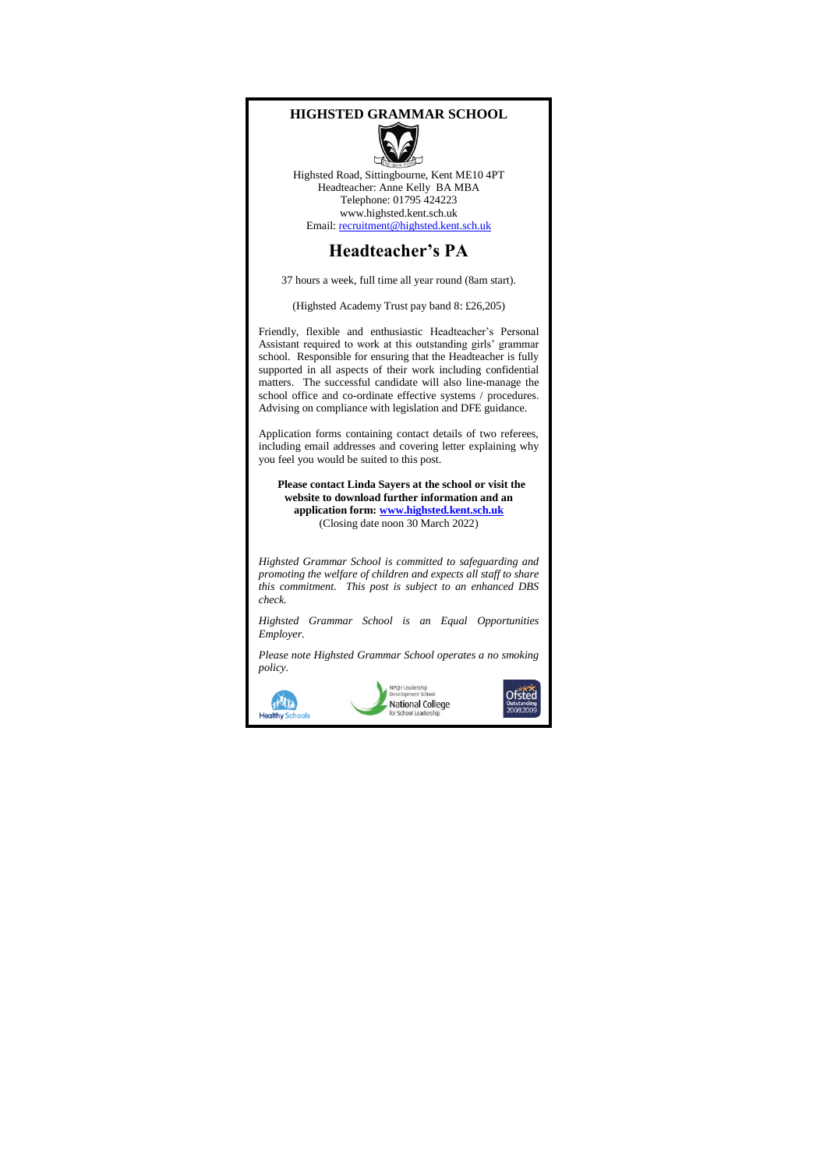## **HIGHSTED GRAMMAR SCHOOL** Highsted Road, Sittingbourne, Kent ME10 4PT Headteacher: Anne Kelly BA MBA Telephone: 01795 424223 www.highsted.kent.sch.uk Email[: recruitment@highsted.kent.sch.uk](mailto:recruitment@highsted.kent.sch.uk) **Headteacher's PA** 37 hours a week, full time all year round (8am start). (Highsted Academy Trust pay band 8: £26,205) Friendly, flexible and enthusiastic Headteacher's Personal Assistant required to work at this outstanding girls' grammar school. Responsible for ensuring that the Headteacher is fully supported in all aspects of their work including confidential matters. The successful candidate will also line-manage the school office and co-ordinate effective systems / procedures. Advising on compliance with legislation and DFE guidance. Application forms containing contact details of two referees, including email addresses and covering letter explaining why you feel you would be suited to this post.  **Please contact Linda Sayers at the school or visit the website to download further information and an application form[: www.highsted.kent.sch.uk](http://www.highsted.kent.sch.uk/)** (Closing date noon 30 March 2022) *Highsted Grammar School is committed to safeguarding and promoting the welfare of children and expects all staff to share this commitment. This post is subject to an enhanced DBS check. Highsted Grammar School is an Equal Opportunities Employer. Please note Highsted Grammar School operates a no smoking policy.*PQH Lea Ofsted HATIL National College

Healthy So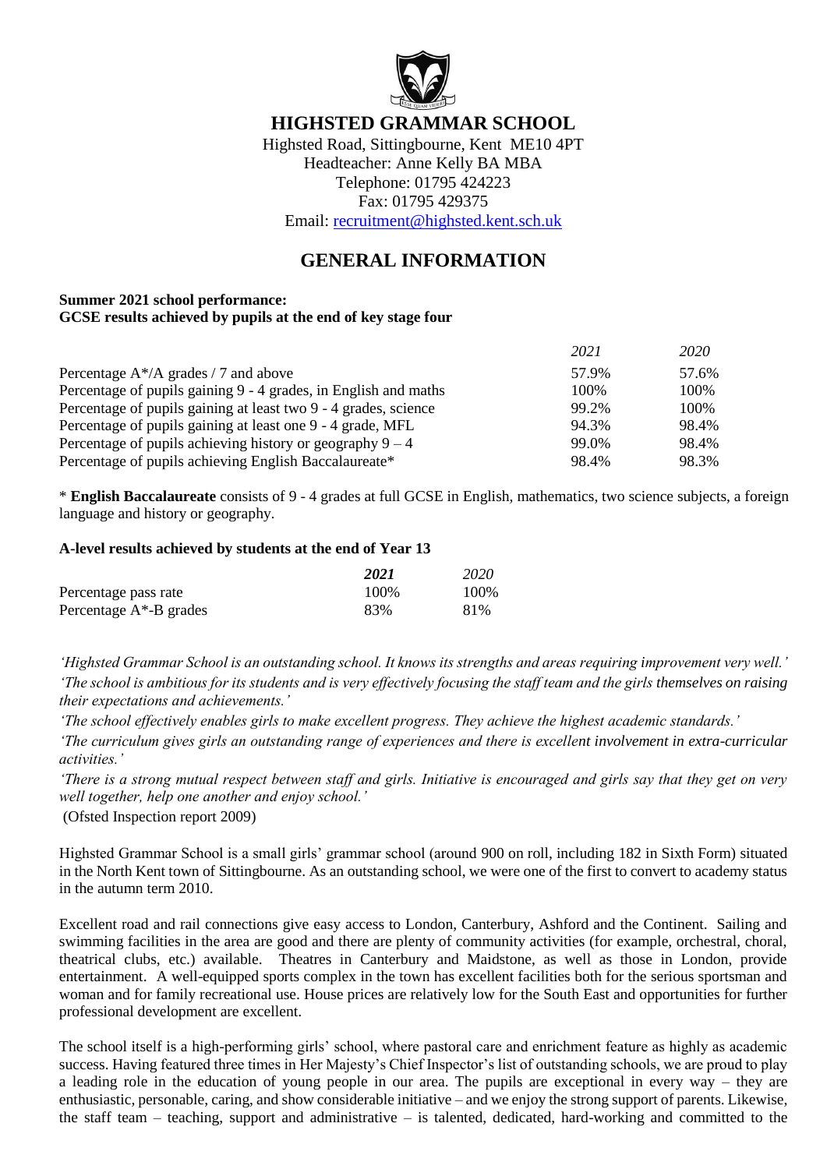

## **HIGHSTED GRAMMAR SCHOOL**

Highsted Road, Sittingbourne, Kent ME10 4PT Headteacher: Anne Kelly BA MBA Telephone: 01795 424223 Fax: 01795 429375 Email: [recruitment@highsted.kent.sch.uk](mailto:recruitment@highsted.kent.sch.uk)

# **GENERAL INFORMATION**

### **Summer 2021 school performance: GCSE results achieved by pupils at the end of key stage four**

|                                                                 | 2021  | 2020  |
|-----------------------------------------------------------------|-------|-------|
| Percentage $A^*/A$ grades / 7 and above                         | 57.9% | 57.6% |
| Percentage of pupils gaining 9 - 4 grades, in English and maths | 100%  | 100%  |
| Percentage of pupils gaining at least two 9 - 4 grades, science | 99.2% | 100\% |
| Percentage of pupils gaining at least one 9 - 4 grade, MFL      | 94.3% | 98.4% |
| Percentage of pupils achieving history or geography $9 - 4$     | 99.0% | 98.4% |
| Percentage of pupils achieving English Baccalaureate*           | 98.4% | 98.3% |

\* **English Baccalaureate** consists of 9 - 4 grades at full GCSE in English, mathematics, two science subjects, a foreign language and history or geography.

## **A-level results achieved by students at the end of Year 13**

|                            | 2021  | 2020 |
|----------------------------|-------|------|
| Percentage pass rate       | 100\% | 100% |
| Percentage $A^*$ -B grades | 83%   | 81%  |

*'Highsted Grammar School is an outstanding school. It knows its strengths and areas requiring improvement very well.' 'The school is ambitious for its students and is very effectively focusing the staff team and the girls themselves on raising their expectations and achievements.'*

*'The school effectively enables girls to make excellent progress. They achieve the highest academic standards.'*

*'The curriculum gives girls an outstanding range of experiences and there is excellent involvement in extra-curricular activities.'*

*'There is a strong mutual respect between staff and girls. Initiative is encouraged and girls say that they get on very well together, help one another and enjoy school.'*

(Ofsted Inspection report 2009)

Highsted Grammar School is a small girls' grammar school (around 900 on roll, including 182 in Sixth Form) situated in the North Kent town of Sittingbourne. As an outstanding school, we were one of the first to convert to academy status in the autumn term 2010.

Excellent road and rail connections give easy access to London, Canterbury, Ashford and the Continent. Sailing and swimming facilities in the area are good and there are plenty of community activities (for example, orchestral, choral, theatrical clubs, etc.) available. Theatres in Canterbury and Maidstone, as well as those in London, provide entertainment. A well-equipped sports complex in the town has excellent facilities both for the serious sportsman and woman and for family recreational use. House prices are relatively low for the South East and opportunities for further professional development are excellent.

The school itself is a high-performing girls' school, where pastoral care and enrichment feature as highly as academic success. Having featured three times in Her Majesty's Chief Inspector's list of outstanding schools, we are proud to play a leading role in the education of young people in our area. The pupils are exceptional in every way – they are enthusiastic, personable, caring, and show considerable initiative – and we enjoy the strong support of parents. Likewise, the staff team – teaching, support and administrative – is talented, dedicated, hard-working and committed to the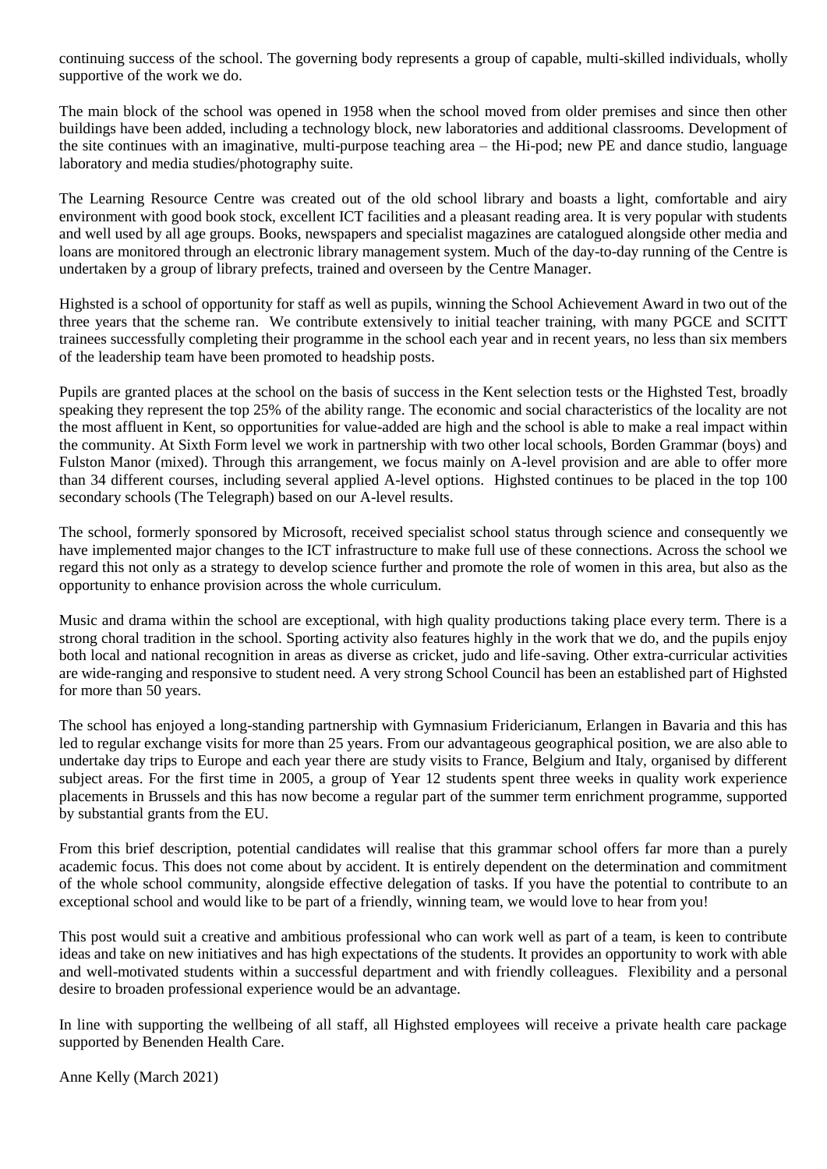continuing success of the school. The governing body represents a group of capable, multi-skilled individuals, wholly supportive of the work we do.

The main block of the school was opened in 1958 when the school moved from older premises and since then other buildings have been added, including a technology block, new laboratories and additional classrooms. Development of the site continues with an imaginative, multi-purpose teaching area – the Hi-pod; new PE and dance studio, language laboratory and media studies/photography suite.

The Learning Resource Centre was created out of the old school library and boasts a light, comfortable and airy environment with good book stock, excellent ICT facilities and a pleasant reading area. It is very popular with students and well used by all age groups. Books, newspapers and specialist magazines are catalogued alongside other media and loans are monitored through an electronic library management system. Much of the day-to-day running of the Centre is undertaken by a group of library prefects, trained and overseen by the Centre Manager.

Highsted is a school of opportunity for staff as well as pupils, winning the School Achievement Award in two out of the three years that the scheme ran. We contribute extensively to initial teacher training, with many PGCE and SCITT trainees successfully completing their programme in the school each year and in recent years, no less than six members of the leadership team have been promoted to headship posts.

Pupils are granted places at the school on the basis of success in the Kent selection tests or the Highsted Test, broadly speaking they represent the top 25% of the ability range. The economic and social characteristics of the locality are not the most affluent in Kent, so opportunities for value-added are high and the school is able to make a real impact within the community. At Sixth Form level we work in partnership with two other local schools, Borden Grammar (boys) and Fulston Manor (mixed). Through this arrangement, we focus mainly on A-level provision and are able to offer more than 34 different courses, including several applied A-level options. Highsted continues to be placed in the top 100 secondary schools (The Telegraph) based on our A-level results.

The school, formerly sponsored by Microsoft, received specialist school status through science and consequently we have implemented major changes to the ICT infrastructure to make full use of these connections. Across the school we regard this not only as a strategy to develop science further and promote the role of women in this area, but also as the opportunity to enhance provision across the whole curriculum.

Music and drama within the school are exceptional, with high quality productions taking place every term. There is a strong choral tradition in the school. Sporting activity also features highly in the work that we do, and the pupils enjoy both local and national recognition in areas as diverse as cricket, judo and life-saving. Other extra-curricular activities are wide-ranging and responsive to student need. A very strong School Council has been an established part of Highsted for more than 50 years.

The school has enjoyed a long-standing partnership with Gymnasium Fridericianum, Erlangen in Bavaria and this has led to regular exchange visits for more than 25 years. From our advantageous geographical position, we are also able to undertake day trips to Europe and each year there are study visits to France, Belgium and Italy, organised by different subject areas. For the first time in 2005, a group of Year 12 students spent three weeks in quality work experience placements in Brussels and this has now become a regular part of the summer term enrichment programme, supported by substantial grants from the EU.

From this brief description, potential candidates will realise that this grammar school offers far more than a purely academic focus. This does not come about by accident. It is entirely dependent on the determination and commitment of the whole school community, alongside effective delegation of tasks. If you have the potential to contribute to an exceptional school and would like to be part of a friendly, winning team, we would love to hear from you!

This post would suit a creative and ambitious professional who can work well as part of a team, is keen to contribute ideas and take on new initiatives and has high expectations of the students. It provides an opportunity to work with able and well-motivated students within a successful department and with friendly colleagues. Flexibility and a personal desire to broaden professional experience would be an advantage.

In line with supporting the wellbeing of all staff, all Highsted employees will receive a private health care package supported by Benenden Health Care.

Anne Kelly (March 2021)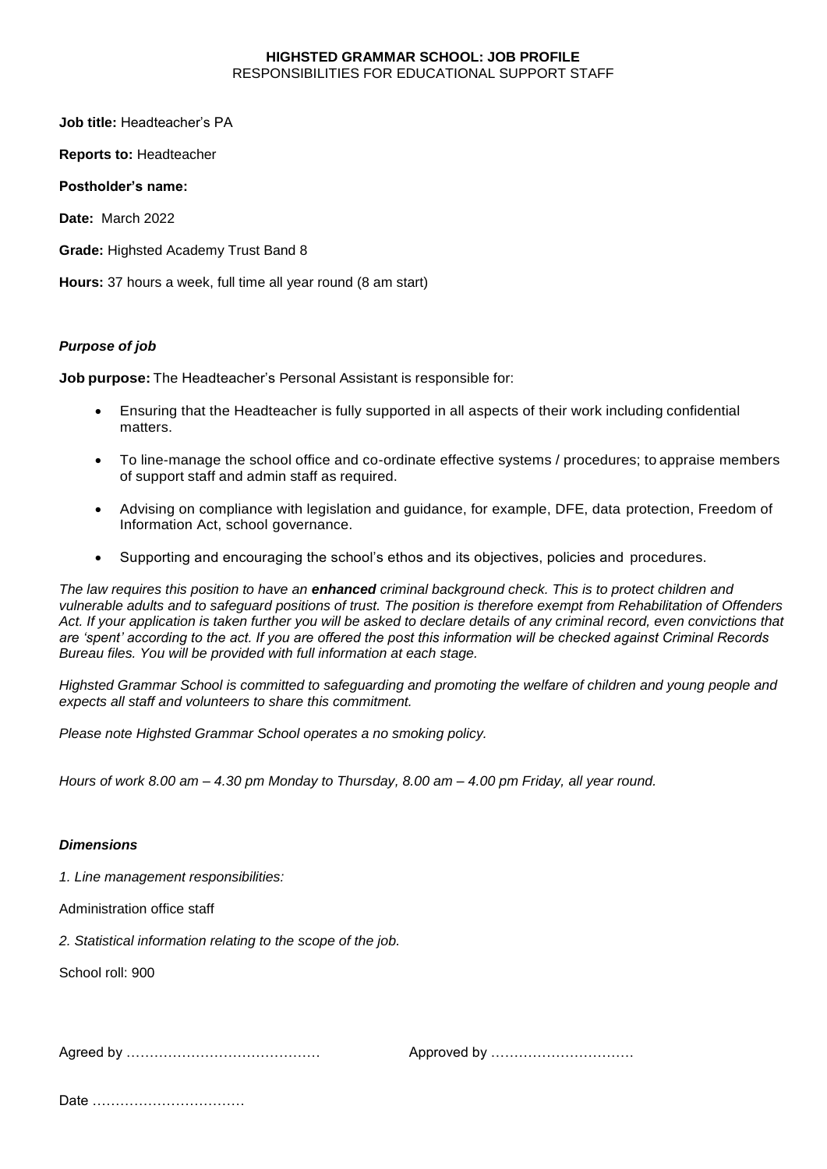#### **HIGHSTED GRAMMAR SCHOOL: JOB PROFILE** RESPONSIBILITIES FOR EDUCATIONAL SUPPORT STAFF

**Job title:** Headteacher's PA

**Reports to:** Headteacher

**Postholder's name:** 

**Date:** March 2022

**Grade:** Highsted Academy Trust Band 8

**Hours:** 37 hours a week, full time all year round (8 am start)

#### *Purpose of job*

**Job purpose:** The Headteacher's Personal Assistant is responsible for:

- Ensuring that the Headteacher is fully supported in all aspects of their work including confidential matters.
- To line-manage the school office and co-ordinate effective systems / procedures; to appraise members of support staff and admin staff as required.
- Advising on compliance with legislation and guidance, for example, DFE, data protection, Freedom of Information Act, school governance.
- Supporting and encouraging the school's ethos and its objectives, policies and procedures.

*The law requires this position to have an enhanced criminal background check. This is to protect children and vulnerable adults and to safeguard positions of trust. The position is therefore exempt from Rehabilitation of Offenders Act. If your application is taken further you will be asked to declare details of any criminal record, even convictions that are 'spent' according to the act. If you are offered the post this information will be checked against Criminal Records Bureau files. You will be provided with full information at each stage.* 

*Highsted Grammar School is committed to safeguarding and promoting the welfare of children and young people and expects all staff and volunteers to share this commitment.* 

*Please note Highsted Grammar School operates a no smoking policy.*

*Hours of work 8.00 am – 4.30 pm Monday to Thursday, 8.00 am – 4.00 pm Friday, all year round.*

### *Dimensions*

*1. Line management responsibilities:*

Administration office staff

*2. Statistical information relating to the scope of the job.*

School roll: 900

Agreed by …………………………………… Approved by ………………………….

Date ……………………………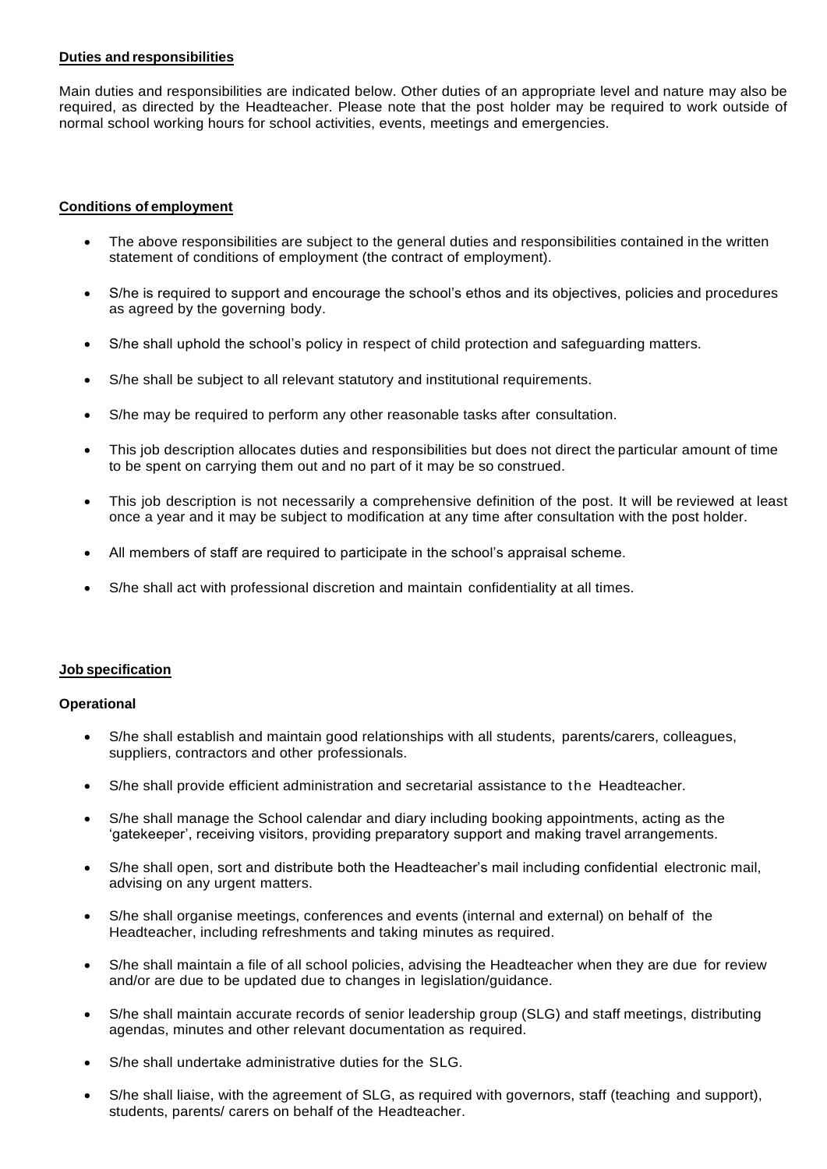#### **Duties and responsibilities**

Main duties and responsibilities are indicated below. Other duties of an appropriate level and nature may also be required, as directed by the Headteacher. Please note that the post holder may be required to work outside of normal school working hours for school activities, events, meetings and emergencies.

#### **Conditions of employment**

- The above responsibilities are subject to the general duties and responsibilities contained in the written statement of conditions of employment (the contract of employment).
- S/he is required to support and encourage the school's ethos and its objectives, policies and procedures as agreed by the governing body.
- S/he shall uphold the school's policy in respect of child protection and safeguarding matters.
- S/he shall be subject to all relevant statutory and institutional requirements.
- S/he may be required to perform any other reasonable tasks after consultation.
- This job description allocates duties and responsibilities but does not direct the particular amount of time to be spent on carrying them out and no part of it may be so construed.
- This job description is not necessarily a comprehensive definition of the post. It will be reviewed at least once a year and it may be subject to modification at any time after consultation with the post holder.
- All members of staff are required to participate in the school's appraisal scheme.
- S/he shall act with professional discretion and maintain confidentiality at all times.

#### **Job specification**

#### **Operational**

- S/he shall establish and maintain good relationships with all students, parents/carers, colleagues, suppliers, contractors and other professionals.
- S/he shall provide efficient administration and secretarial assistance to the Headteacher.
- S/he shall manage the School calendar and diary including booking appointments, acting as the 'gatekeeper', receiving visitors, providing preparatory support and making travel arrangements.
- S/he shall open, sort and distribute both the Headteacher's mail including confidential electronic mail, advising on any urgent matters.
- S/he shall organise meetings, conferences and events (internal and external) on behalf of the Headteacher, including refreshments and taking minutes as required.
- S/he shall maintain a file of all school policies, advising the Headteacher when they are due for review and/or are due to be updated due to changes in legislation/guidance.
- S/he shall maintain accurate records of senior leadership group (SLG) and staff meetings, distributing agendas, minutes and other relevant documentation as required.
- S/he shall undertake administrative duties for the SLG.
- S/he shall liaise, with the agreement of SLG, as required with governors, staff (teaching and support), students, parents/ carers on behalf of the Headteacher.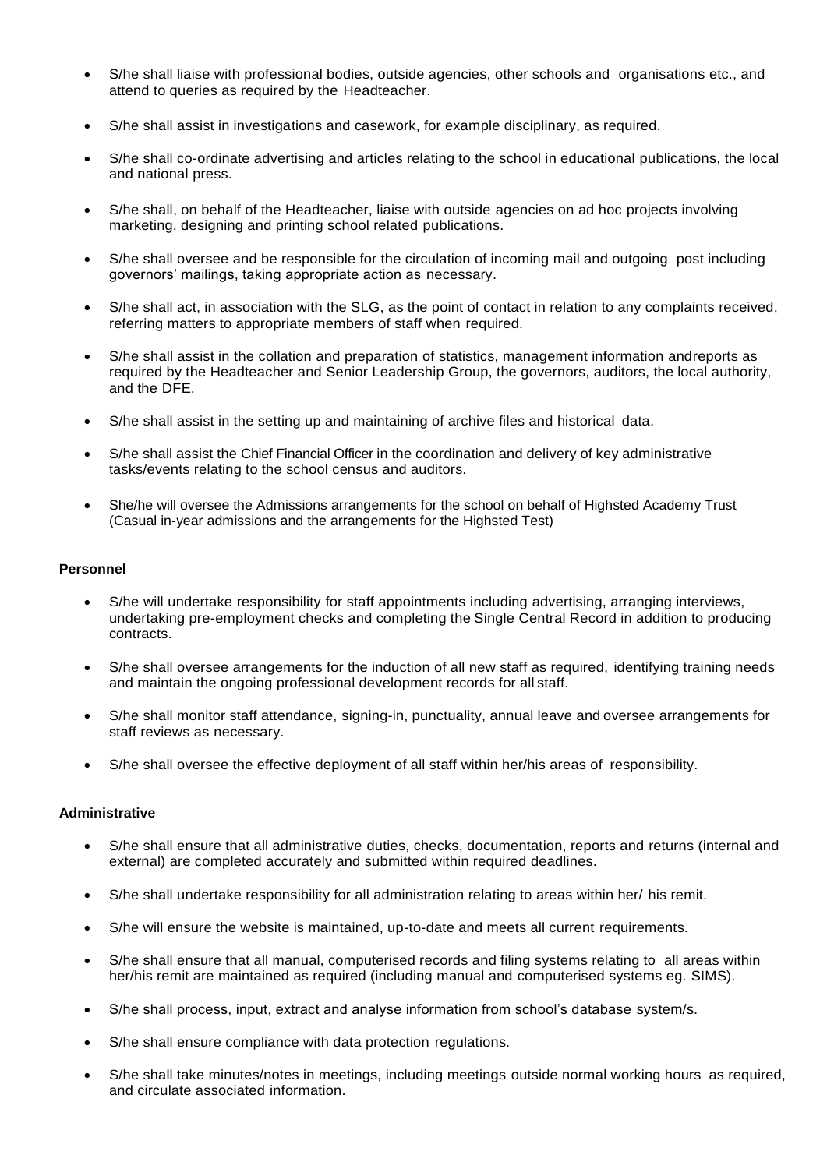- S/he shall liaise with professional bodies, outside agencies, other schools and organisations etc., and attend to queries as required by the Headteacher.
- S/he shall assist in investigations and casework, for example disciplinary, as required.
- S/he shall co-ordinate advertising and articles relating to the school in educational publications, the local and national press.
- S/he shall, on behalf of the Headteacher, liaise with outside agencies on ad hoc projects involving marketing, designing and printing school related publications.
- S/he shall oversee and be responsible for the circulation of incoming mail and outgoing post including governors' mailings, taking appropriate action as necessary.
- S/he shall act, in association with the SLG, as the point of contact in relation to any complaints received, referring matters to appropriate members of staff when required.
- S/he shall assist in the collation and preparation of statistics, management information andreports as required by the Headteacher and Senior Leadership Group, the governors, auditors, the local authority, and the DFE.
- S/he shall assist in the setting up and maintaining of archive files and historical data.
- S/he shall assist the Chief Financial Officer in the coordination and delivery of key administrative tasks/events relating to the school census and auditors.
- She/he will oversee the Admissions arrangements for the school on behalf of Highsted Academy Trust (Casual in-year admissions and the arrangements for the Highsted Test)

#### **Personnel**

- S/he will undertake responsibility for staff appointments including advertising, arranging interviews, undertaking pre-employment checks and completing the Single Central Record in addition to producing contracts.
- S/he shall oversee arrangements for the induction of all new staff as required, identifying training needs and maintain the ongoing professional development records for all staff.
- S/he shall monitor staff attendance, signing-in, punctuality, annual leave and oversee arrangements for staff reviews as necessary.
- S/he shall oversee the effective deployment of all staff within her/his areas of responsibility.

#### **Administrative**

- S/he shall ensure that all administrative duties, checks, documentation, reports and returns (internal and external) are completed accurately and submitted within required deadlines.
- S/he shall undertake responsibility for all administration relating to areas within her/ his remit.
- S/he will ensure the website is maintained, up-to-date and meets all current requirements.
- S/he shall ensure that all manual, computerised records and filing systems relating to all areas within her/his remit are maintained as required (including manual and computerised systems eg. SIMS).
- S/he shall process, input, extract and analyse information from school's database system/s.
- S/he shall ensure compliance with data protection regulations.
- S/he shall take minutes/notes in meetings, including meetings outside normal working hours as required, and circulate associated information.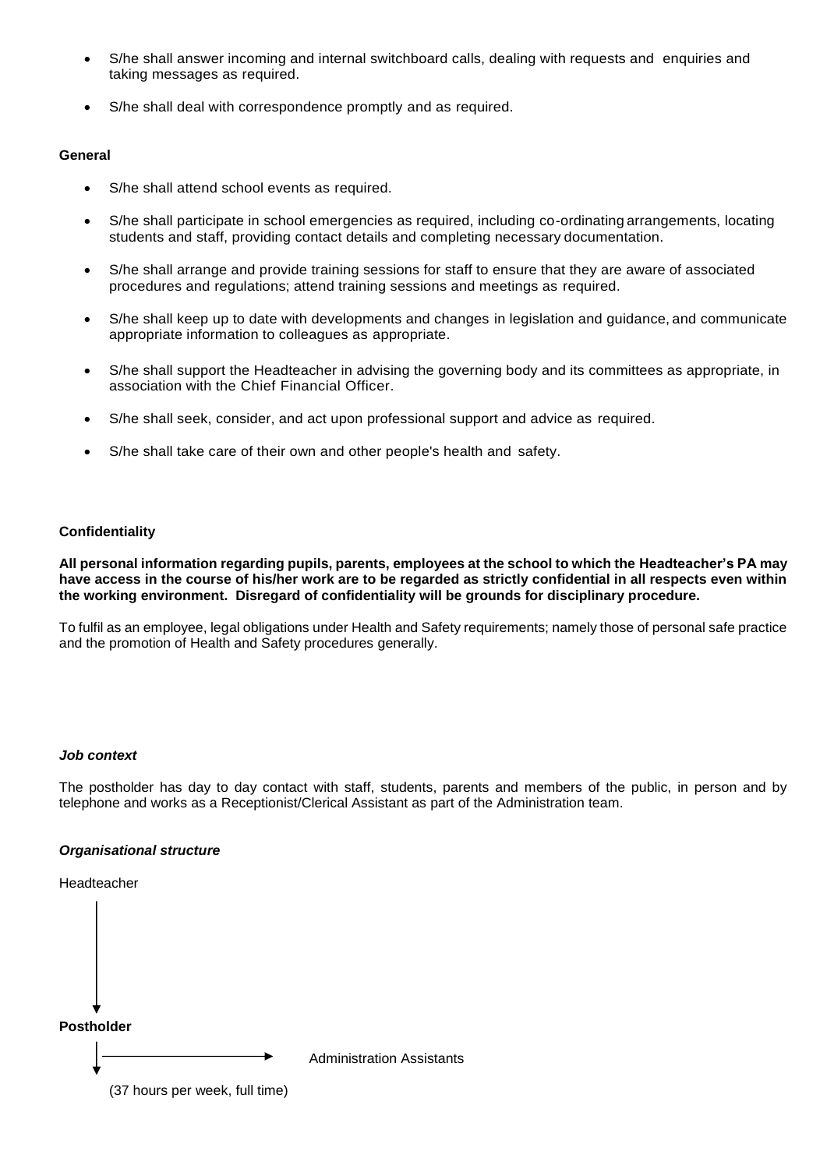- S/he shall answer incoming and internal switchboard calls, dealing with requests and enquiries and taking messages as required.
- S/he shall deal with correspondence promptly and as required.

#### **General**

- S/he shall attend school events as required.
- S/he shall participate in school emergencies as required, including co-ordinating arrangements, locating students and staff, providing contact details and completing necessary documentation.
- S/he shall arrange and provide training sessions for staff to ensure that they are aware of associated procedures and regulations; attend training sessions and meetings as required.
- S/he shall keep up to date with developments and changes in legislation and guidance, and communicate appropriate information to colleagues as appropriate.
- S/he shall support the Headteacher in advising the governing body and its committees as appropriate, in association with the Chief Financial Officer.
- S/he shall seek, consider, and act upon professional support and advice as required.
- S/he shall take care of their own and other people's health and safety.

#### **Confidentiality**

**All personal information regarding pupils, parents, employees at the school to which the Headteacher's PA may have access in the course of his/her work are to be regarded as strictly confidential in all respects even within the working environment. Disregard of confidentiality will be grounds for disciplinary procedure.**

To fulfil as an employee, legal obligations under Health and Safety requirements; namely those of personal safe practice and the promotion of Health and Safety procedures generally.

#### *Job context*

The postholder has day to day contact with staff, students, parents and members of the public, in person and by telephone and works as a Receptionist/Clerical Assistant as part of the Administration team.

#### *Organisational structure*

Headteacher

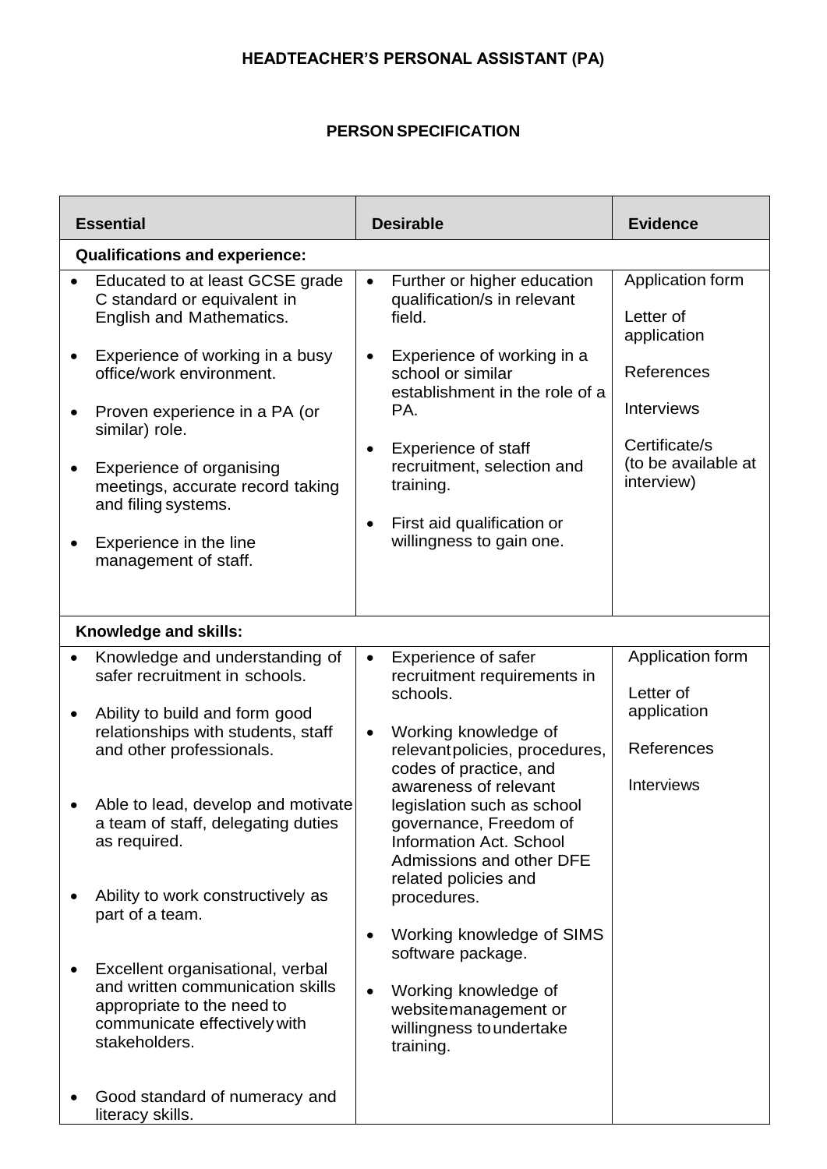# **HEADTEACHER'S PERSONAL ASSISTANT (PA)**

## **PERSON SPECIFICATION**

| <b>Essential</b>                                                                                                                                                                                                                                                                                                                                                                                                                                                                            | <b>Desirable</b>                                                                                                                                                                                                                                                                                                                                                                                                                                                                                                                              | <b>Evidence</b>                                                                                                                       |  |  |  |
|---------------------------------------------------------------------------------------------------------------------------------------------------------------------------------------------------------------------------------------------------------------------------------------------------------------------------------------------------------------------------------------------------------------------------------------------------------------------------------------------|-----------------------------------------------------------------------------------------------------------------------------------------------------------------------------------------------------------------------------------------------------------------------------------------------------------------------------------------------------------------------------------------------------------------------------------------------------------------------------------------------------------------------------------------------|---------------------------------------------------------------------------------------------------------------------------------------|--|--|--|
| <b>Qualifications and experience:</b>                                                                                                                                                                                                                                                                                                                                                                                                                                                       |                                                                                                                                                                                                                                                                                                                                                                                                                                                                                                                                               |                                                                                                                                       |  |  |  |
| Educated to at least GCSE grade<br>C standard or equivalent in<br>English and Mathematics.<br>Experience of working in a busy<br>$\bullet$<br>office/work environment.<br>Proven experience in a PA (or<br>similar) role.<br>Experience of organising<br>meetings, accurate record taking<br>and filing systems.<br>Experience in the line<br>management of staff.                                                                                                                          | Further or higher education<br>$\bullet$<br>qualification/s in relevant<br>field.<br>Experience of working in a<br>$\bullet$<br>school or similar<br>establishment in the role of a<br>PA.<br><b>Experience of staff</b><br>recruitment, selection and<br>training.<br>First aid qualification or<br>$\bullet$<br>willingness to gain one.                                                                                                                                                                                                    | Application form<br>Letter of<br>application<br>References<br><b>Interviews</b><br>Certificate/s<br>(to be available at<br>interview) |  |  |  |
| Knowledge and skills:                                                                                                                                                                                                                                                                                                                                                                                                                                                                       |                                                                                                                                                                                                                                                                                                                                                                                                                                                                                                                                               |                                                                                                                                       |  |  |  |
| Knowledge and understanding of<br>safer recruitment in schools.<br>Ability to build and form good<br>$\bullet$<br>relationships with students, staff<br>and other professionals.<br>Able to lead, develop and motivate<br>a team of staff, delegating duties<br>as required.<br>Ability to work constructively as<br>part of a team.<br>Excellent organisational, verbal<br>and written communication skills<br>appropriate to the need to<br>communicate effectively with<br>stakeholders. | Experience of safer<br>$\bullet$<br>recruitment requirements in<br>schools.<br>Working knowledge of<br>$\bullet$<br>relevantpolicies, procedures,<br>codes of practice, and<br>awareness of relevant<br>legislation such as school<br>governance, Freedom of<br><b>Information Act. School</b><br><b>Admissions and other DFE</b><br>related policies and<br>procedures.<br>Working knowledge of SIMS<br>$\bullet$<br>software package.<br>Working knowledge of<br>$\bullet$<br>websitemanagement or<br>willingness to undertake<br>training. | Application form<br>Letter of<br>application<br>References<br>Interviews                                                              |  |  |  |
| Good standard of numeracy and<br>literacy skills.                                                                                                                                                                                                                                                                                                                                                                                                                                           |                                                                                                                                                                                                                                                                                                                                                                                                                                                                                                                                               |                                                                                                                                       |  |  |  |